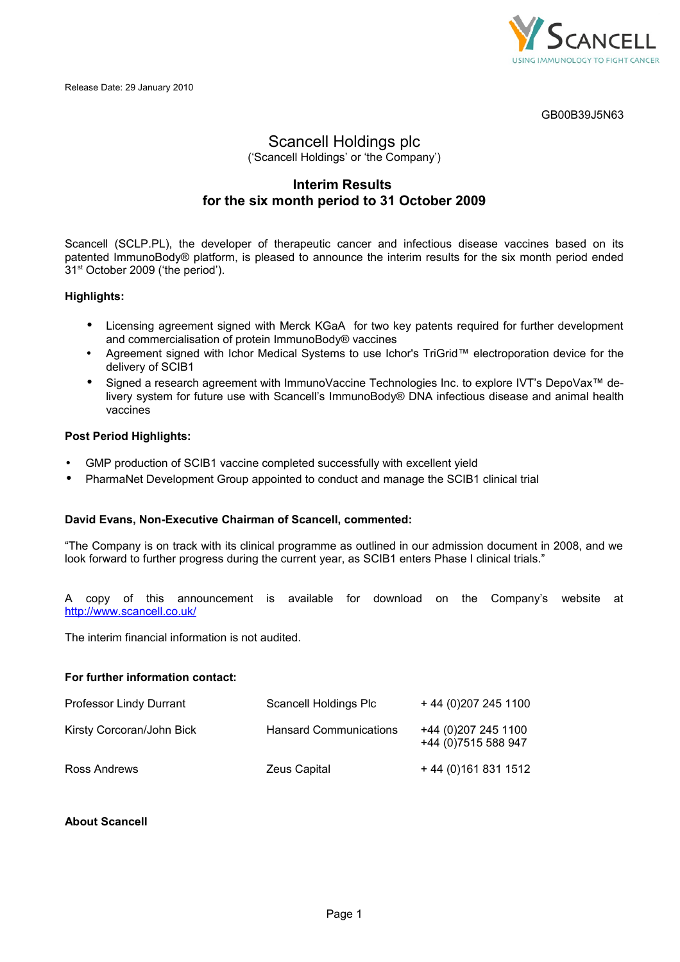

GB00B39J5N63

# Scancell Holdings plc ('Scancell Holdings' or 'the Company')

# **Interim Results for the six month period to 31 October 2009**

Scancell (SCLP.PL), the developer of therapeutic cancer and infectious disease vaccines based on its patented ImmunoBody® platform, is pleased to announce the interim results for the six month period ended 31<sup>st</sup> October 2009 ('the period').

# **Highlights:**

- Licensing agreement signed with Merck KGaA for two key patents required for further development and commercialisation of protein ImmunoBody® vaccines
- Agreement signed with Ichor Medical Systems to use Ichor's TriGrid™ electroporation device for the delivery of SCIB1
- Signed a research agreement with ImmunoVaccine Technologies Inc. to explore IVT's DepoVax™ delivery system for future use with Scancell's ImmunoBody® DNA infectious disease and animal health vaccines

# **Post Period Highlights:**

- GMP production of SCIB1 vaccine completed successfully with excellent yield
- PharmaNet Development Group appointed to conduct and manage the SCIB1 clinical trial

# **David Evans, Non-Executive Chairman of Scancell, commented:**

"The Company is on track with its clinical programme as outlined in our admission document in 2008, and we look forward to further progress during the current year, as SCIB1 enters Phase I clinical trials."

A copy of this announcement is available for download on the Company's website at <http://www.scancell.co.uk/>

The interim financial information is not audited.

# **For further information contact:**

| Professor Lindy Durrant   | Scancell Holdings Plc         | +44 (0) 207 245 1100                         |
|---------------------------|-------------------------------|----------------------------------------------|
| Kirsty Corcoran/John Bick | <b>Hansard Communications</b> | +44 (0) 207 245 1100<br>+44 (0) 7515 588 947 |
| Ross Andrews              | Zeus Capital                  | $+44(0)1618311512$                           |

# **About Scancell**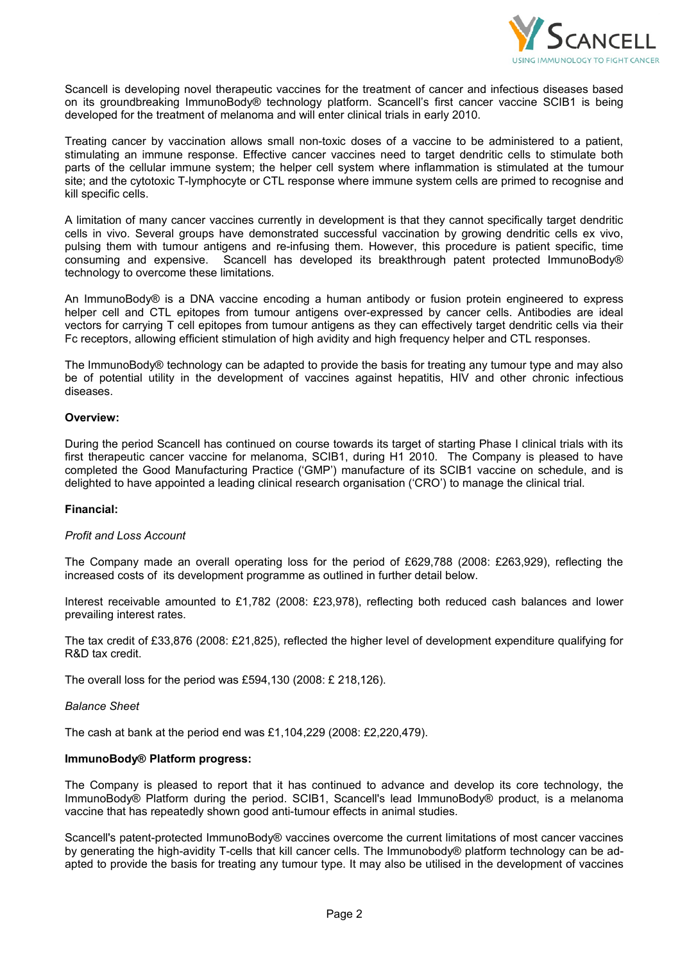

Scancell is developing novel therapeutic vaccines for the treatment of cancer and infectious diseases based on its groundbreaking ImmunoBody® technology platform. Scancell's first cancer vaccine SCIB1 is being developed for the treatment of melanoma and will enter clinical trials in early 2010.

Treating cancer by vaccination allows small non-toxic doses of a vaccine to be administered to a patient, stimulating an immune response. Effective cancer vaccines need to target dendritic cells to stimulate both parts of the cellular immune system; the helper cell system where inflammation is stimulated at the tumour site; and the cytotoxic T-lymphocyte or CTL response where immune system cells are primed to recognise and kill specific cells.

A limitation of many cancer vaccines currently in development is that they cannot specifically target dendritic cells in vivo. Several groups have demonstrated successful vaccination by growing dendritic cells ex vivo, pulsing them with tumour antigens and re-infusing them. However, this procedure is patient specific, time consuming and expensive. Scancell has developed its breakthrough patent protected ImmunoBody® technology to overcome these limitations.

An ImmunoBody® is a DNA vaccine encoding a human antibody or fusion protein engineered to express helper cell and CTL epitopes from tumour antigens over-expressed by cancer cells. Antibodies are ideal vectors for carrying T cell epitopes from tumour antigens as they can effectively target dendritic cells via their Fc receptors, allowing efficient stimulation of high avidity and high frequency helper and CTL responses.

The ImmunoBody® technology can be adapted to provide the basis for treating any tumour type and may also be of potential utility in the development of vaccines against hepatitis, HIV and other chronic infectious diseases.

### **Overview:**

During the period Scancell has continued on course towards its target of starting Phase I clinical trials with its first therapeutic cancer vaccine for melanoma, SCIB1, during H1 2010. The Company is pleased to have completed the Good Manufacturing Practice ('GMP') manufacture of its SCIB1 vaccine on schedule, and is delighted to have appointed a leading clinical research organisation ('CRO') to manage the clinical trial.

### **Financial:**

### *Profit and Loss Account*

The Company made an overall operating loss for the period of £629,788 (2008: £263,929), reflecting the increased costs of its development programme as outlined in further detail below.

Interest receivable amounted to £1,782 (2008: £23,978), reflecting both reduced cash balances and lower prevailing interest rates.

The tax credit of £33,876 (2008: £21,825), reflected the higher level of development expenditure qualifying for R&D tax credit.

The overall loss for the period was £594,130 (2008: £ 218,126).

### *Balance Sheet*

The cash at bank at the period end was £1,104,229 (2008: £2,220,479).

### **ImmunoBody® Platform progress:**

The Company is pleased to report that it has continued to advance and develop its core technology, the ImmunoBody® Platform during the period. SCIB1, Scancell's lead ImmunoBody® product, is a melanoma vaccine that has repeatedly shown good anti-tumour effects in animal studies.

Scancell's patent-protected ImmunoBody® vaccines overcome the current limitations of most cancer vaccines by generating the high-avidity T-cells that kill cancer cells. The Immunobody® platform technology can be adapted to provide the basis for treating any tumour type. It may also be utilised in the development of vaccines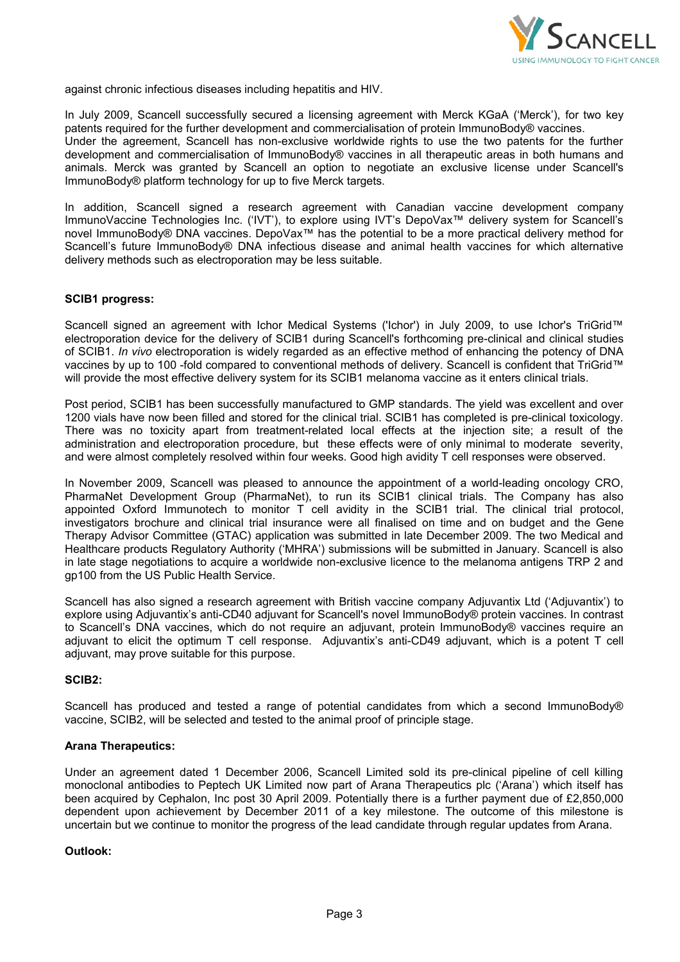

against chronic infectious diseases including hepatitis and HIV.

In July 2009, Scancell successfully secured a licensing agreement with Merck KGaA ('Merck'), for two key patents required for the further development and commercialisation of protein ImmunoBody® vaccines. Under the agreement, Scancell has non-exclusive worldwide rights to use the two patents for the further development and commercialisation of ImmunoBody® vaccines in all therapeutic areas in both humans and animals. Merck was granted by Scancell an option to negotiate an exclusive license under Scancell's ImmunoBody® platform technology for up to five Merck targets.

In addition, Scancell signed a research agreement with Canadian vaccine development company ImmunoVaccine Technologies Inc. ('IVT'), to explore using IVT's DepoVax™ delivery system for Scancell's novel ImmunoBody® DNA vaccines. DepoVax™ has the potential to be a more practical delivery method for Scancell's future ImmunoBody® DNA infectious disease and animal health vaccines for which alternative delivery methods such as electroporation may be less suitable.

### **SCIB1 progress:**

Scancell signed an agreement with Ichor Medical Systems ('Ichor') in July 2009, to use Ichor's TriGrid™ electroporation device for the delivery of SCIB1 during Scancell's forthcoming pre-clinical and clinical studies of SCIB1. *In vivo* electroporation is widely regarded as an effective method of enhancing the potency of DNA vaccines by up to 100 -fold compared to conventional methods of delivery. Scancell is confident that TriGrid™ will provide the most effective delivery system for its SCIB1 melanoma vaccine as it enters clinical trials.

Post period, SCIB1 has been successfully manufactured to GMP standards. The yield was excellent and over 1200 vials have now been filled and stored for the clinical trial. SCIB1 has completed is pre-clinical toxicology. There was no toxicity apart from treatment-related local effects at the injection site; a result of the administration and electroporation procedure, but these effects were of only minimal to moderate severity, and were almost completely resolved within four weeks. Good high avidity T cell responses were observed.

In November 2009, Scancell was pleased to announce the appointment of a world-leading oncology CRO, PharmaNet Development Group (PharmaNet), to run its SCIB1 clinical trials. The Company has also appointed Oxford Immunotech to monitor T cell avidity in the SCIB1 trial. The clinical trial protocol, investigators brochure and clinical trial insurance were all finalised on time and on budget and the Gene Therapy Advisor Committee (GTAC) application was submitted in late December 2009. The two Medical and Healthcare products Regulatory Authority ('MHRA') submissions will be submitted in January. Scancell is also in late stage negotiations to acquire a worldwide non-exclusive licence to the melanoma antigens TRP 2 and gp100 from the US Public Health Service.

Scancell has also signed a research agreement with British vaccine company Adjuvantix Ltd ('Adjuvantix') to explore using Adjuvantix's anti-CD40 adjuvant for Scancell's novel ImmunoBody® protein vaccines. In contrast to Scancell's DNA vaccines, which do not require an adjuvant, protein ImmunoBody® vaccines require an adjuvant to elicit the optimum T cell response. Adjuvantix's anti-CD49 adjuvant, which is a potent T cell adjuvant, may prove suitable for this purpose.

### **SCIB2:**

Scancell has produced and tested a range of potential candidates from which a second ImmunoBody® vaccine, SCIB2, will be selected and tested to the animal proof of principle stage.

#### **Arana Therapeutics:**

Under an agreement dated 1 December 2006, Scancell Limited sold its pre-clinical pipeline of cell killing monoclonal antibodies to Peptech UK Limited now part of Arana Therapeutics plc ('Arana') which itself has been acquired by Cephalon, Inc post 30 April 2009. Potentially there is a further payment due of £2,850,000 dependent upon achievement by December 2011 of a key milestone. The outcome of this milestone is uncertain but we continue to monitor the progress of the lead candidate through regular updates from Arana.

#### **Outlook:**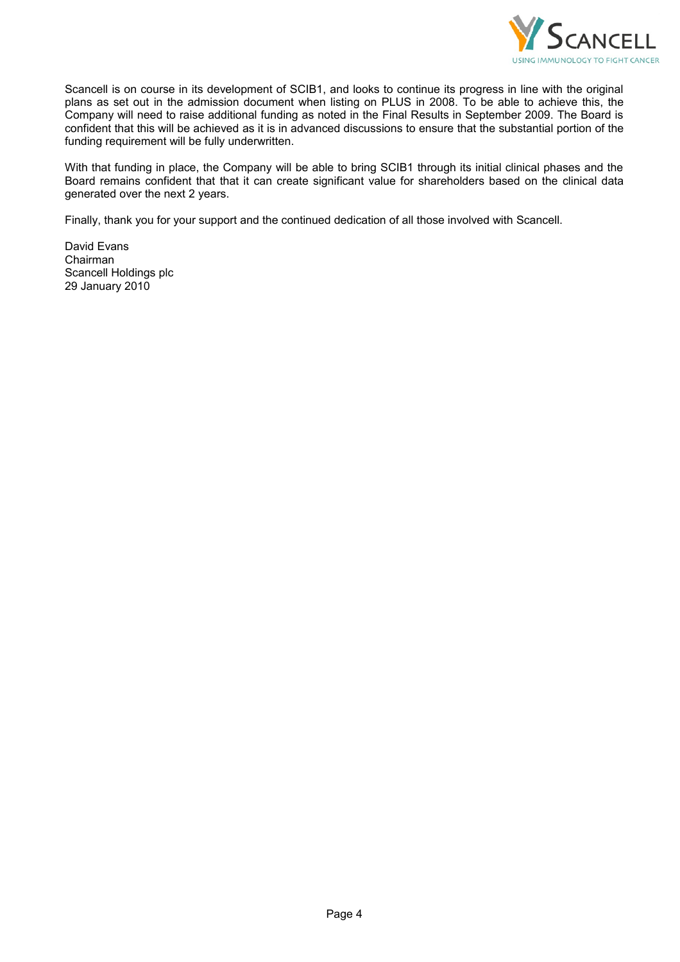

Scancell is on course in its development of SCIB1, and looks to continue its progress in line with the original plans as set out in the admission document when listing on PLUS in 2008. To be able to achieve this, the Company will need to raise additional funding as noted in the Final Results in September 2009. The Board is confident that this will be achieved as it is in advanced discussions to ensure that the substantial portion of the funding requirement will be fully underwritten.

With that funding in place, the Company will be able to bring SCIB1 through its initial clinical phases and the Board remains confident that that it can create significant value for shareholders based on the clinical data generated over the next 2 years.

Finally, thank you for your support and the continued dedication of all those involved with Scancell.

David Evans Chairman Scancell Holdings plc 29 January 2010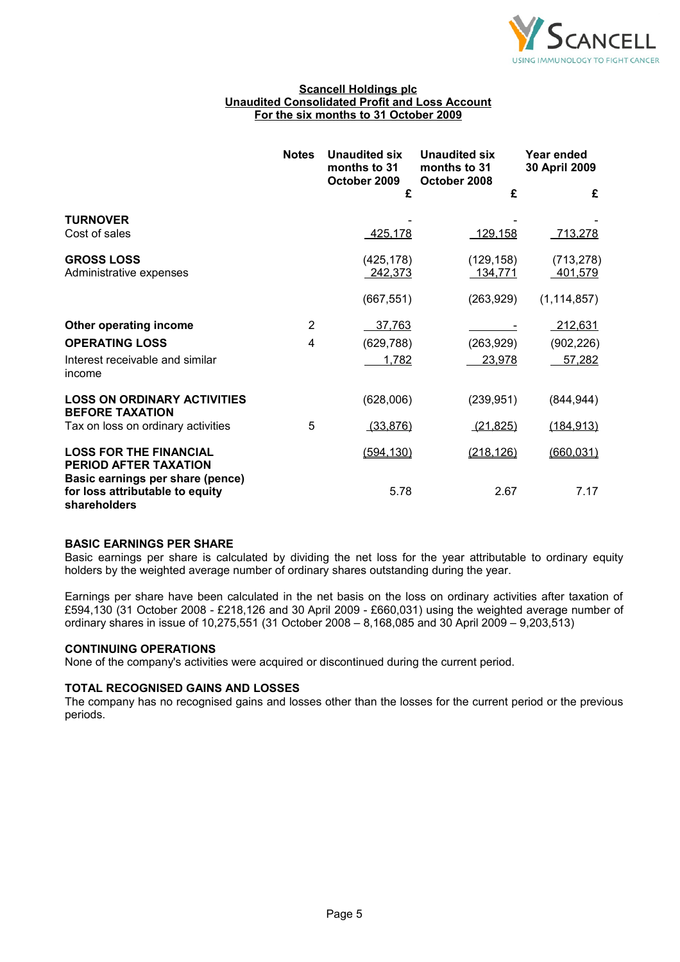

### **Scancell Holdings plc Unaudited Consolidated Profit and Loss Account For the six months to 31 October 2009**

|                                                                                     | <b>Notes</b>   | Unaudited six<br>months to 31<br>October 2009 | <b>Unaudited six</b><br>months to 31<br>October 2008 | Year ended<br>30 April 2009 |
|-------------------------------------------------------------------------------------|----------------|-----------------------------------------------|------------------------------------------------------|-----------------------------|
|                                                                                     |                | £                                             | £                                                    | £                           |
| <b>TURNOVER</b><br>Cost of sales                                                    |                | 425,178                                       | 129,158                                              | 713,278                     |
| <b>GROSS LOSS</b><br>Administrative expenses                                        |                | (425, 178)<br>242,373                         | (129, 158)<br>134,771                                | (713, 278)<br>401,579       |
|                                                                                     |                | (667, 551)                                    | (263, 929)                                           | (1, 114, 857)               |
| Other operating income                                                              | $\overline{2}$ | 37,763                                        |                                                      | 212,631                     |
| <b>OPERATING LOSS</b>                                                               | 4              | (629, 788)                                    | (263, 929)                                           | (902, 226)                  |
| Interest receivable and similar<br>income                                           |                | 1,782                                         | 23,978                                               | 57,282                      |
| <b>LOSS ON ORDINARY ACTIVITIES</b><br><b>BEFORE TAXATION</b>                        |                | (628,006)                                     | (239, 951)                                           | (844, 944)                  |
| Tax on loss on ordinary activities                                                  | 5              | (33, 876)                                     | (21, 825)                                            | (184,913)                   |
| <b>LOSS FOR THE FINANCIAL</b><br>PERIOD AFTER TAXATION                              |                | (594, 130)                                    | (218, 126)                                           | (660, 031)                  |
| Basic earnings per share (pence)<br>for loss attributable to equity<br>shareholders |                | 5.78                                          | 2.67                                                 | 7.17                        |

### **BASIC EARNINGS PER SHARE**

Basic earnings per share is calculated by dividing the net loss for the year attributable to ordinary equity holders by the weighted average number of ordinary shares outstanding during the year.

Earnings per share have been calculated in the net basis on the loss on ordinary activities after taxation of £594,130 (31 October 2008 - £218,126 and 30 April 2009 - £660,031) using the weighted average number of ordinary shares in issue of 10,275,551 (31 October 2008 – 8,168,085 and 30 April 2009 – 9,203,513)

# **CONTINUING OPERATIONS**

None of the company's activities were acquired or discontinued during the current period.

### **TOTAL RECOGNISED GAINS AND LOSSES**

The company has no recognised gains and losses other than the losses for the current period or the previous periods.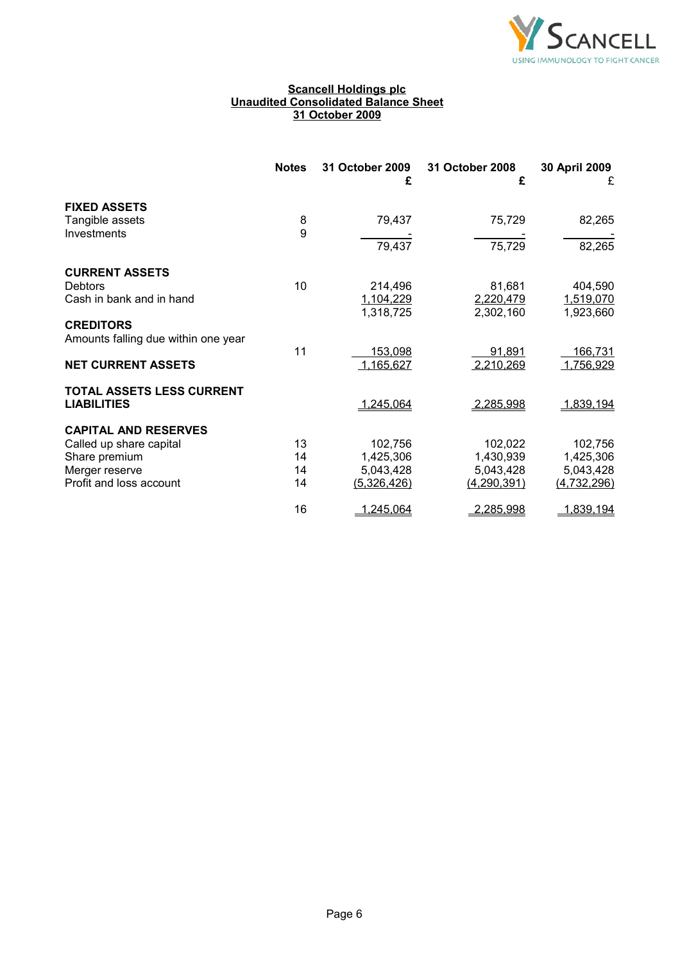

### **Scancell Holdings plc Unaudited Consolidated Balance Sheet 31 October 2009**

|                                     | <b>Notes</b> | 31 October 2009<br>£ | 31 October 2008<br>£ | 30 April 2009<br>£ |
|-------------------------------------|--------------|----------------------|----------------------|--------------------|
| <b>FIXED ASSETS</b>                 |              |                      |                      |                    |
| Tangible assets                     | 8            | 79,437               | 75,729               | 82,265             |
| Investments                         | 9            | 79,437               | 75,729               |                    |
|                                     |              |                      |                      | 82,265             |
| <b>CURRENT ASSETS</b>               |              |                      |                      |                    |
| <b>Debtors</b>                      | 10           | 214,496              | 81,681               | 404,590            |
| Cash in bank and in hand            |              | 1,104,229            | 2,220,479            | 1,519,070          |
|                                     |              | 1,318,725            | 2,302,160            | 1,923,660          |
| <b>CREDITORS</b>                    |              |                      |                      |                    |
| Amounts falling due within one year |              |                      |                      |                    |
|                                     | 11           | 153,098              | 91,891               | 166,731            |
| <b>NET CURRENT ASSETS</b>           |              | 1,165,627            | 2,210,269            | 1,756,929          |
| TOTAL ASSETS LESS CURRENT           |              |                      |                      |                    |
| <b>LIABILITIES</b>                  |              | 1,245,064            | 2,285,998            | 1,839,194          |
| <b>CAPITAL AND RESERVES</b>         |              |                      |                      |                    |
| Called up share capital             | 13           | 102,756              | 102,022              | 102,756            |
| Share premium                       | 14           | 1,425,306            | 1,430,939            | 1,425,306          |
| Merger reserve                      | 14           | 5,043,428            | 5,043,428            | 5,043,428          |
| Profit and loss account             | 14           | (5,326,426)          | (4, 290, 391)        | <u>(4,732,296)</u> |
|                                     | 16           | 1,245,064            | 2,285,998            | 1,839,194          |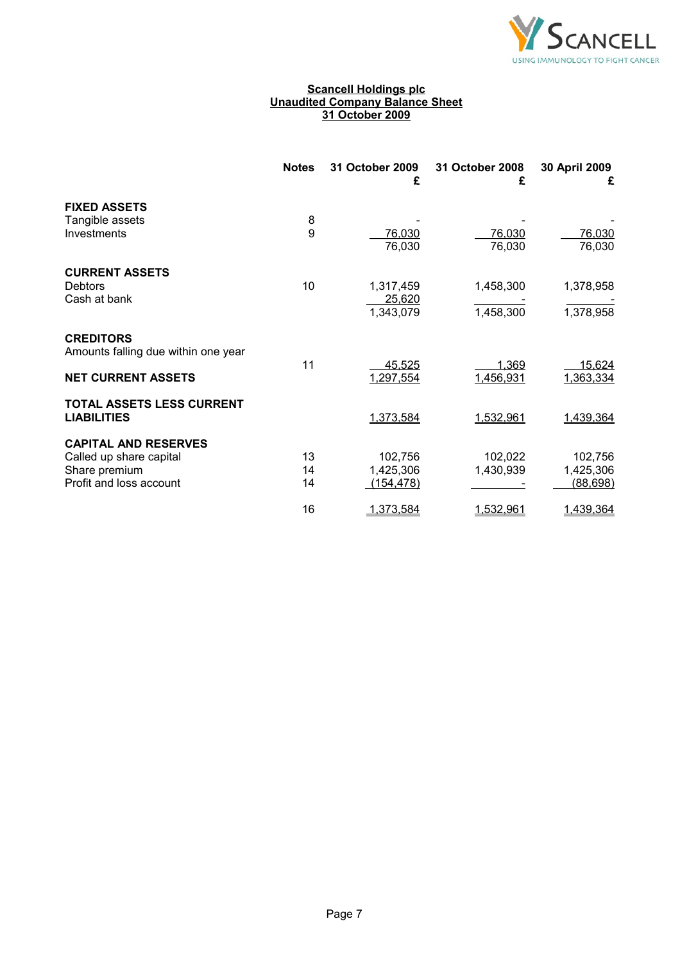

### **Scancell Holdings plc Unaudited Company Balance Sheet 31 October 2009**

|                                                                     | <b>Notes</b>   | 31 October 2009<br>£               | 31 October 2008<br>£   | 30 April 2009<br>£                |
|---------------------------------------------------------------------|----------------|------------------------------------|------------------------|-----------------------------------|
| <b>FIXED ASSETS</b><br>Tangible assets<br>Investments               | 8<br>9         | 76,030                             | 76,030                 | 76,030                            |
| <b>CURRENT ASSETS</b>                                               |                | 76,030                             | 76,030                 | 76,030                            |
| Debtors<br>Cash at bank                                             | 10             | 1,317,459<br>25,620<br>1,343,079   | 1,458,300<br>1,458,300 | 1,378,958<br>1,378,958            |
| <b>CREDITORS</b><br>Amounts falling due within one year             | 11             | 45,525                             | 1,369                  | 15,624                            |
| <b>NET CURRENT ASSETS</b><br>TOTAL ASSETS LESS CURRENT              |                | 1,297,554                          | 1,456,931              | 1,363,334                         |
| <b>LIABILITIES</b><br><b>CAPITAL AND RESERVES</b>                   |                | 1,373,584                          | 1,532,961              | 1,439,364                         |
| Called up share capital<br>Share premium<br>Profit and loss account | 13<br>14<br>14 | 102,756<br>1,425,306<br>(154, 478) | 102,022<br>1,430,939   | 102,756<br>1,425,306<br>(88, 698) |
|                                                                     | 16             | 1,373,584                          | 1,532,961              | 1,439,364                         |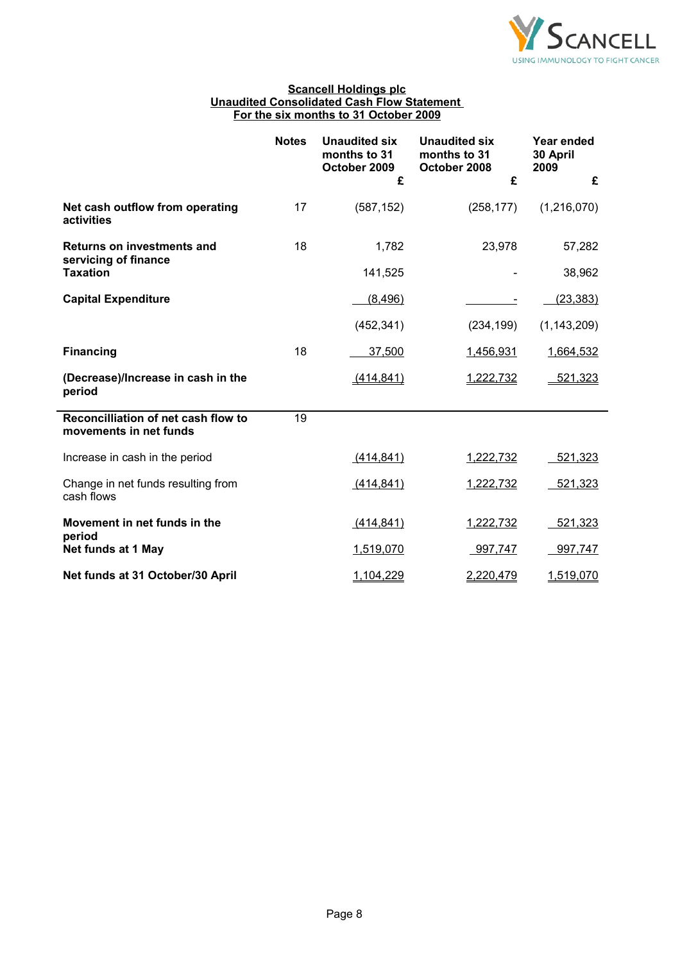

### **Scancell Holdings plc Unaudited Consolidated Cash Flow Statement For the six months to 31 October 2009**

|                                                               | <b>Notes</b> | <b>Unaudited six</b><br>months to 31<br>October 2009<br>£ | Unaudited six<br>months to 31<br>October 2008<br>£ | Year ended<br>30 April<br>2009<br>£ |
|---------------------------------------------------------------|--------------|-----------------------------------------------------------|----------------------------------------------------|-------------------------------------|
|                                                               |              |                                                           |                                                    |                                     |
| Net cash outflow from operating<br>activities                 | 17           | (587, 152)                                                | (258, 177)                                         | (1,216,070)                         |
| <b>Returns on investments and</b><br>servicing of finance     | 18           | 1,782                                                     | 23,978                                             | 57,282                              |
| <b>Taxation</b>                                               |              | 141,525                                                   |                                                    | 38,962                              |
| <b>Capital Expenditure</b>                                    |              | (8, 496)                                                  |                                                    | (23, 383)                           |
|                                                               |              | (452, 341)                                                | (234, 199)                                         | (1, 143, 209)                       |
| <b>Financing</b>                                              | 18           | 37,500                                                    | 1,456,931                                          | 1,664,532                           |
| (Decrease)/Increase in cash in the<br>period                  |              | (414, 841)                                                | 1,222,732                                          | 521,323                             |
| Reconcilliation of net cash flow to<br>movements in net funds | 19           |                                                           |                                                    |                                     |
| Increase in cash in the period                                |              | (414, 841)                                                | 1,222,732                                          | 521,323                             |
| Change in net funds resulting from<br>cash flows              |              | (414, 841)                                                | 1,222,732                                          | 521,323                             |
| Movement in net funds in the<br>period                        |              | (414, 841)                                                | 1,222,732                                          | 521,323                             |
| Net funds at 1 May                                            |              | 1,519,070                                                 | 997,747                                            | 997,747                             |
| Net funds at 31 October/30 April                              |              | 1,104,229                                                 | 2,220,479                                          | 1,519,070                           |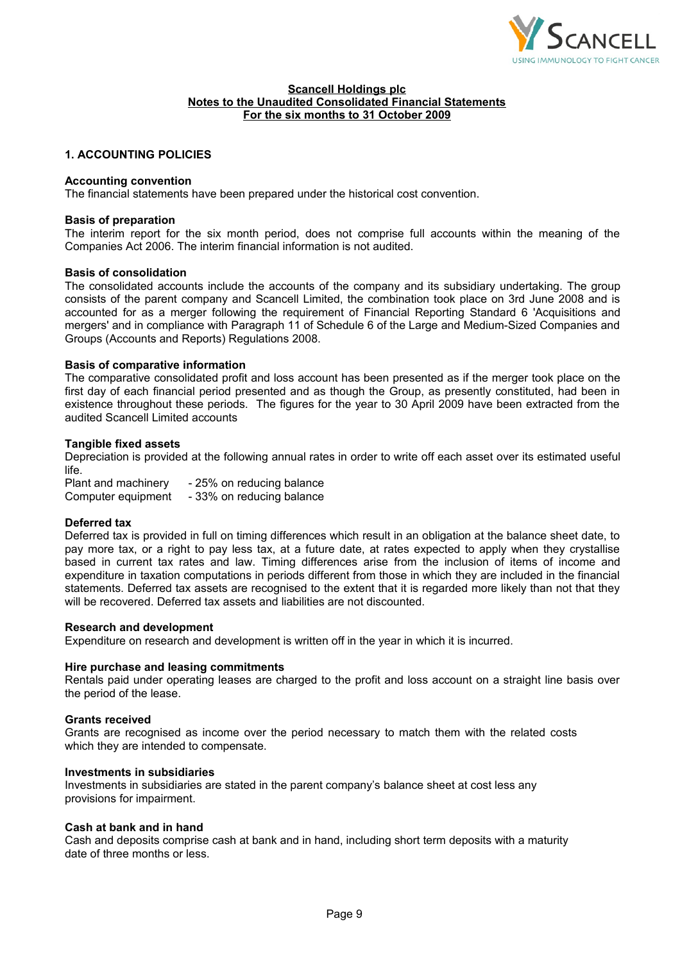

# **1. ACCOUNTING POLICIES**

### **Accounting convention**

The financial statements have been prepared under the historical cost convention.

#### **Basis of preparation**

The interim report for the six month period, does not comprise full accounts within the meaning of the Companies Act 2006. The interim financial information is not audited.

#### **Basis of consolidation**

The consolidated accounts include the accounts of the company and its subsidiary undertaking. The group consists of the parent company and Scancell Limited, the combination took place on 3rd June 2008 and is accounted for as a merger following the requirement of Financial Reporting Standard 6 'Acquisitions and mergers' and in compliance with Paragraph 11 of Schedule 6 of the Large and Medium-Sized Companies and Groups (Accounts and Reports) Regulations 2008.

#### **Basis of comparative information**

The comparative consolidated profit and loss account has been presented as if the merger took place on the first day of each financial period presented and as though the Group, as presently constituted, had been in existence throughout these periods. The figures for the year to 30 April 2009 have been extracted from the audited Scancell Limited accounts

#### **Tangible fixed assets**

Depreciation is provided at the following annual rates in order to write off each asset over its estimated useful life.

Plant and machinery - 25% on reducing balance Computer equipment - 33% on reducing balance

### **Deferred tax**

Deferred tax is provided in full on timing differences which result in an obligation at the balance sheet date, to pay more tax, or a right to pay less tax, at a future date, at rates expected to apply when they crystallise based in current tax rates and law. Timing differences arise from the inclusion of items of income and expenditure in taxation computations in periods different from those in which they are included in the financial statements. Deferred tax assets are recognised to the extent that it is regarded more likely than not that they will be recovered. Deferred tax assets and liabilities are not discounted.

#### **Research and development**

Expenditure on research and development is written off in the year in which it is incurred.

#### **Hire purchase and leasing commitments**

Rentals paid under operating leases are charged to the profit and loss account on a straight line basis over the period of the lease.

#### **Grants received**

Grants are recognised as income over the period necessary to match them with the related costs which they are intended to compensate.

#### **Investments in subsidiaries**

Investments in subsidiaries are stated in the parent company's balance sheet at cost less any provisions for impairment.

#### **Cash at bank and in hand**

Cash and deposits comprise cash at bank and in hand, including short term deposits with a maturity date of three months or less.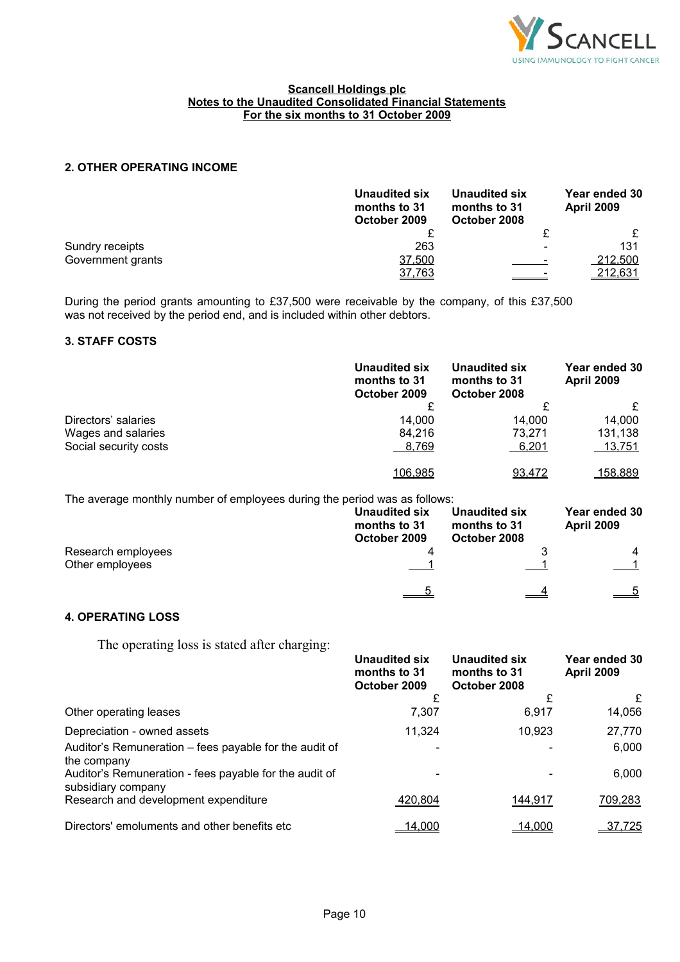

# **2. OTHER OPERATING INCOME**

|                   | <b>Unaudited six</b><br>months to 31<br>October 2009 | Unaudited six<br>months to 31<br>October 2008 | Year ended 30<br><b>April 2009</b> |
|-------------------|------------------------------------------------------|-----------------------------------------------|------------------------------------|
|                   |                                                      |                                               |                                    |
| Sundry receipts   | 263                                                  |                                               | 131                                |
| Government grants | 37,500                                               |                                               | 212,500                            |
|                   | 37,763                                               |                                               | <u>212,631</u>                     |

During the period grants amounting to £37,500 were receivable by the company, of this £37,500 was not received by the period end, and is included within other debtors.

### **3. STAFF COSTS**

|                       | Unaudited six<br>months to 31<br>October 2009 | Unaudited six<br>months to 31<br>October 2008 | Year ended 30<br><b>April 2009</b> |
|-----------------------|-----------------------------------------------|-----------------------------------------------|------------------------------------|
|                       |                                               |                                               |                                    |
| Directors' salaries   | 14.000                                        | 14.000                                        | 14.000                             |
| Wages and salaries    | 84.216                                        | 73.271                                        | 131,138                            |
| Social security costs | 8,769                                         | <u>6,201</u>                                  | <u>13,751</u>                      |
|                       | 106.985                                       | 93,472                                        | 158.889                            |

The average monthly number of employees during the period was as follows:

|                                       | Unaudited six<br>months to 31<br>October 2009 | Unaudited six<br>months to 31<br>October 2008 | Year ended 30<br><b>April 2009</b> |
|---------------------------------------|-----------------------------------------------|-----------------------------------------------|------------------------------------|
| Research employees<br>Other employees |                                               |                                               | 4                                  |
|                                       |                                               |                                               |                                    |

# **4. OPERATING LOSS**

The operating loss is stated after charging:

| The operating loss is stated after charging.                                 |                                               |                                               |                                    |
|------------------------------------------------------------------------------|-----------------------------------------------|-----------------------------------------------|------------------------------------|
|                                                                              | Unaudited six<br>months to 31<br>October 2009 | Unaudited six<br>months to 31<br>October 2008 | Year ended 30<br><b>April 2009</b> |
|                                                                              |                                               | £                                             | £                                  |
| Other operating leases                                                       | 7,307                                         | 6.917                                         | 14,056                             |
| Depreciation - owned assets                                                  | 11,324                                        | 10.923                                        | 27,770                             |
| Auditor's Remuneration – fees payable for the audit of<br>the company        |                                               |                                               | 6,000                              |
| Auditor's Remuneration - fees payable for the audit of<br>subsidiary company |                                               |                                               | 6,000                              |
| Research and development expenditure                                         | 420,804                                       | 144,917                                       | 709,283                            |
| Directors' emoluments and other benefits etc.                                | <u>14.000</u>                                 | <u>14,000</u>                                 | 37,725                             |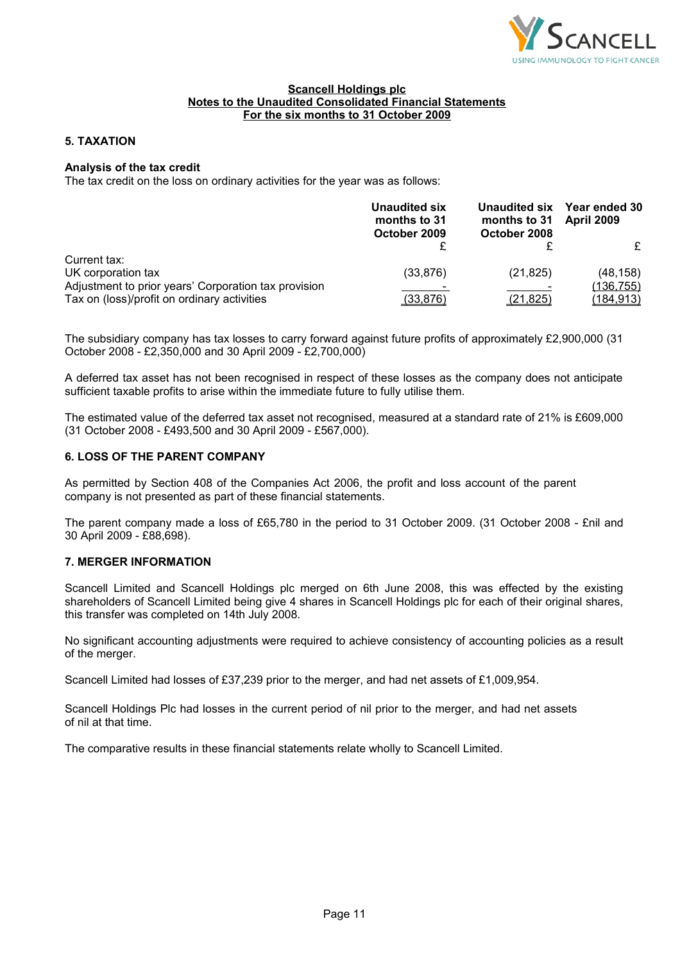

# **5. TAXATION**

# **Analysis of the tax credit**

The tax credit on the loss on ordinary activities for the year was as follows:

|                                                      | Unaudited six<br>months to 31<br>October 2009 | months to 31<br>October 2008 | Unaudited six Year ended 30<br><b>April 2009</b> |
|------------------------------------------------------|-----------------------------------------------|------------------------------|--------------------------------------------------|
|                                                      |                                               |                              | £                                                |
| Current tax:                                         |                                               |                              |                                                  |
| UK corporation tax                                   | (33, 876)                                     | (21, 825)                    | (48, 158)                                        |
| Adjustment to prior years' Corporation tax provision |                                               |                              | (136, 755)                                       |
| Tax on (loss)/profit on ordinary activities          | (33, 876)                                     | (21, 825)                    | <u>(184,913)</u>                                 |

The subsidiary company has tax losses to carry forward against future profits of approximately £2,900,000 (31 October 2008 - £2,350,000 and 30 April 2009 - £2,700,000)

A deferred tax asset has not been recognised in respect of these losses as the company does not anticipate sufficient taxable profits to arise within the immediate future to fully utilise them.

The estimated value of the deferred tax asset not recognised, measured at a standard rate of 21% is £609,000 (31 October 2008 - £493,500 and 30 April 2009 - £567,000).

# **6. LOSS OF THE PARENT COMPANY**

As permitted by Section 408 of the Companies Act 2006, the profit and loss account of the parent company is not presented as part of these financial statements.

The parent company made a loss of £65,780 in the period to 31 October 2009. (31 October 2008 - £nil and 30 April 2009 - £88,698).

### **7. MERGER INFORMATION**

Scancell Limited and Scancell Holdings plc merged on 6th June 2008, this was effected by the existing shareholders of Scancell Limited being give 4 shares in Scancell Holdings plc for each of their original shares, this transfer was completed on 14th July 2008.

No significant accounting adjustments were required to achieve consistency of accounting policies as a result of the merger.

Scancell Limited had losses of £37,239 prior to the merger, and had net assets of £1,009,954.

Scancell Holdings Plc had losses in the current period of nil prior to the merger, and had net assets of nil at that time.

The comparative results in these financial statements relate wholly to Scancell Limited.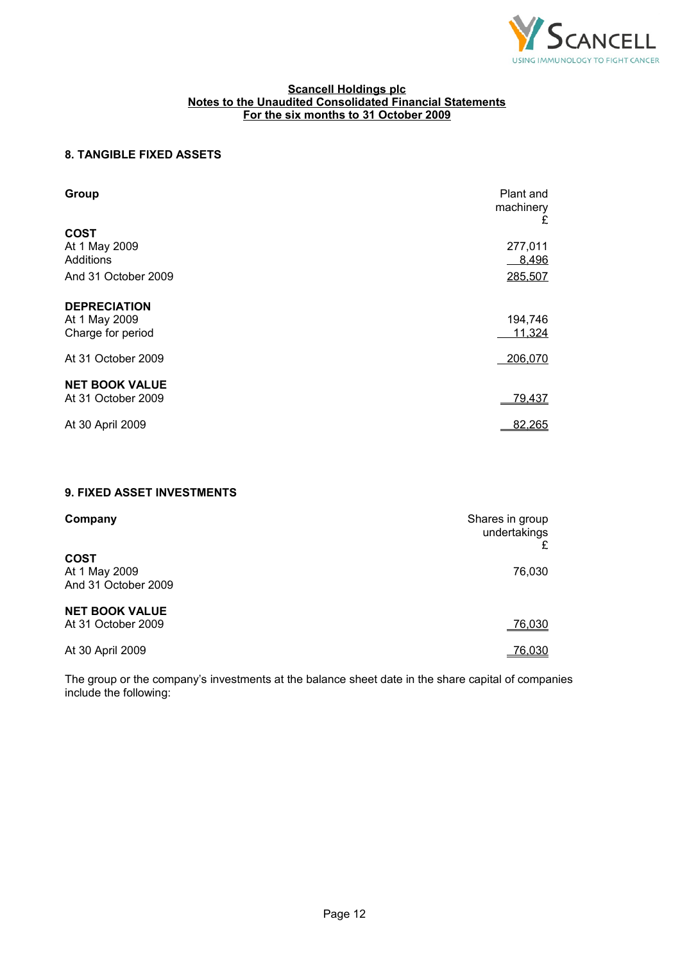

# **8. TANGIBLE FIXED ASSETS**

| Group                                                     | Plant and<br>machinery<br>£ |
|-----------------------------------------------------------|-----------------------------|
| <b>COST</b><br>At 1 May 2009<br>Additions                 | 277,011<br>8,496            |
| And 31 October 2009                                       | 285,507                     |
| <b>DEPRECIATION</b><br>At 1 May 2009<br>Charge for period | 194,746<br>11,324           |
| At 31 October 2009                                        | 206,070                     |
| <b>NET BOOK VALUE</b><br>At 31 October 2009               | 79,437                      |
| At 30 April 2009                                          | 82,265                      |

# **9. FIXED ASSET INVESTMENTS**

| Company                                             | Shares in group<br>undertakings |
|-----------------------------------------------------|---------------------------------|
| <b>COST</b><br>At 1 May 2009<br>And 31 October 2009 | 76,030                          |
| <b>NET BOOK VALUE</b><br>At 31 October 2009         | 76,030                          |
| At 30 April 2009                                    | 76,030                          |

The group or the company's investments at the balance sheet date in the share capital of companies include the following: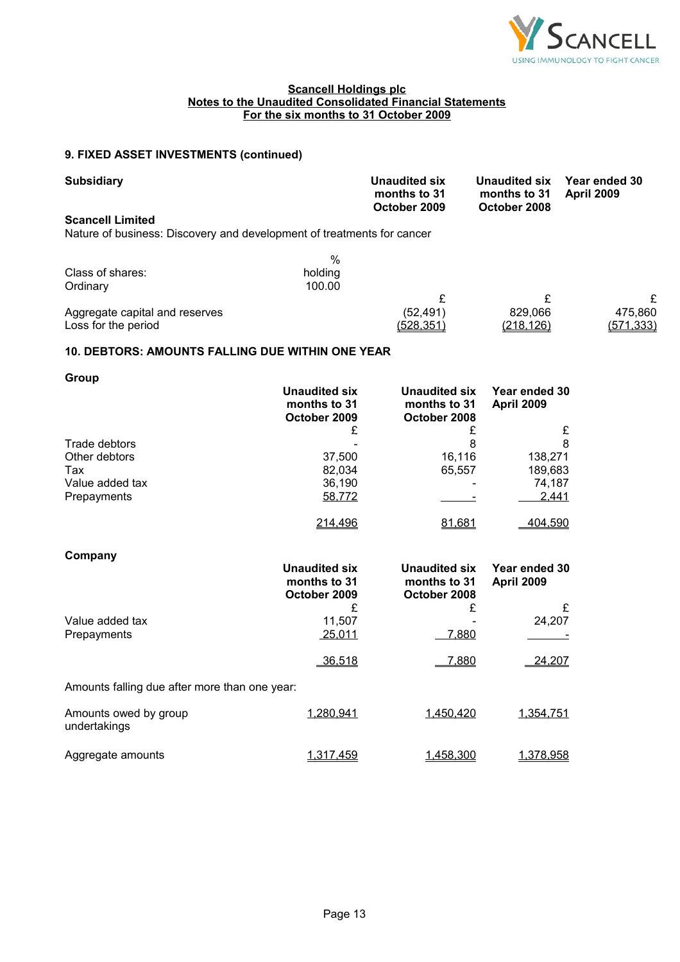

# **9. FIXED ASSET INVESTMENTS (continued)**

| <b>Subsidiary</b>                                                      |         | Unaudited six<br>months to 31<br>October 2009 | Unaudited six<br>months to 31<br>October 2008 | Year ended 30<br><b>April 2009</b> |
|------------------------------------------------------------------------|---------|-----------------------------------------------|-----------------------------------------------|------------------------------------|
| <b>Scancell Limited</b>                                                |         |                                               |                                               |                                    |
| Nature of business: Discovery and development of treatments for cancer |         |                                               |                                               |                                    |
|                                                                        | %       |                                               |                                               |                                    |
| Class of shares:                                                       | holding |                                               |                                               |                                    |
| Ordinary                                                               | 100.00  |                                               |                                               |                                    |
|                                                                        |         |                                               | £                                             | £                                  |
| Aggregate capital and reserves                                         |         | (52, 491)                                     | 829,066                                       | 475,860                            |
| Loss for the period                                                    |         | <u>(528,351)</u>                              | <u>(218,126)</u>                              | (571,333)                          |

# **10. DEBTORS: AMOUNTS FALLING DUE WITHIN ONE YEAR**

| Group           |                                                      |                                               |                                    |
|-----------------|------------------------------------------------------|-----------------------------------------------|------------------------------------|
|                 | <b>Unaudited six</b><br>months to 31<br>October 2009 | Unaudited six<br>months to 31<br>October 2008 | Year ended 30<br><b>April 2009</b> |
|                 | £                                                    | £                                             | £                                  |
| Trade debtors   |                                                      | 8                                             | 8                                  |
| Other debtors   | 37,500                                               | 16,116                                        | 138,271                            |
| Tax             | 82.034                                               | 65,557                                        | 189,683                            |
| Value added tax | 36,190                                               |                                               | 74,187                             |
| Prepayments     | 58,772                                               |                                               | 2,441                              |
|                 | 214,496                                              | 81,681                                        | 404,590                            |
| Company         |                                                      |                                               |                                    |
|                 | <b>Unaudited six</b><br>months to 31                 | Unaudited six<br>months to 31                 | Year ended 30<br><b>April 2009</b> |

|                                               | months to 31<br>October 2009 | months to 31<br>October 2008 | <b>April 2009</b> |
|-----------------------------------------------|------------------------------|------------------------------|-------------------|
|                                               | £                            | £                            | £                 |
| Value added tax                               | 11.507                       |                              | 24,207            |
| Prepayments                                   | 25,011                       | 7,880                        |                   |
|                                               | 36,518                       | 7,880                        | 24,207            |
| Amounts falling due after more than one year: |                              |                              |                   |
| Amounts owed by group<br>undertakings         | 1.280.941                    | 1,450,420                    | 1,354,751         |
| Aggregate amounts                             | 1.317.459                    | 1.458.300                    | <u>1,378,958</u>  |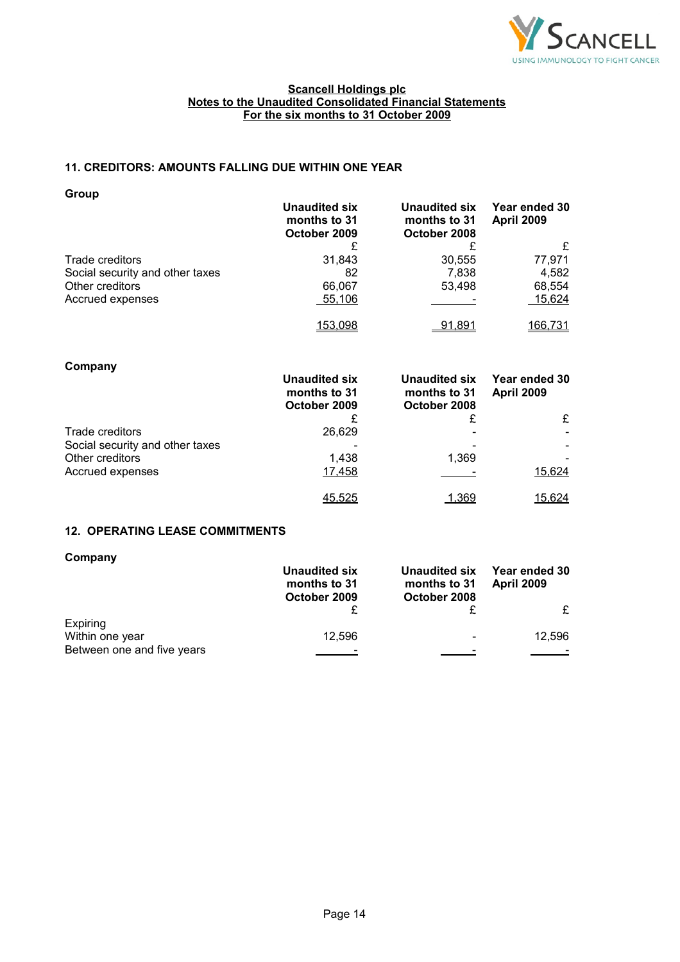

# **11. CREDITORS: AMOUNTS FALLING DUE WITHIN ONE YEAR**

**Group**

|                                 | <b>Unaudited six</b><br>months to 31<br>October 2009 | <b>Unaudited six</b><br>months to 31<br>October 2008 | Year ended 30<br><b>April 2009</b> |
|---------------------------------|------------------------------------------------------|------------------------------------------------------|------------------------------------|
|                                 |                                                      |                                                      | £                                  |
| Trade creditors                 | 31,843                                               | 30,555                                               | 77,971                             |
| Social security and other taxes | 82                                                   | 7,838                                                | 4.582                              |
| Other creditors                 | 66,067                                               | 53,498                                               | 68,554                             |
| Accrued expenses                | $-55,106$                                            |                                                      | 15,624                             |
|                                 | 153,098                                              | <u>91,891</u>                                        | 166,731                            |

| Company                         | Unaudited six<br>months to 31<br>October 2009 | Unaudited six<br>months to 31<br>October 2008 | Year ended 30<br><b>April 2009</b> |
|---------------------------------|-----------------------------------------------|-----------------------------------------------|------------------------------------|
|                                 | £                                             | £                                             | £                                  |
| Trade creditors                 | 26,629                                        |                                               |                                    |
| Social security and other taxes |                                               |                                               |                                    |
| Other creditors                 | 1.438                                         | 1.369                                         |                                    |
| Accrued expenses                | 17,458                                        |                                               | 15,624                             |
|                                 | 45.525                                        | 1.369                                         | 15.624                             |

# **12. OPERATING LEASE COMMITMENTS**

| Company                    | Unaudited six<br>months to 31<br>October 2009 | Unaudited six<br>months to 31<br>October 2008 | Year ended 30<br><b>April 2009</b> |
|----------------------------|-----------------------------------------------|-----------------------------------------------|------------------------------------|
|                            |                                               |                                               |                                    |
| Expiring                   |                                               |                                               |                                    |
| Within one year            | 12,596                                        | $\overline{\phantom{0}}$                      | 12,596                             |
| Between one and five years |                                               |                                               |                                    |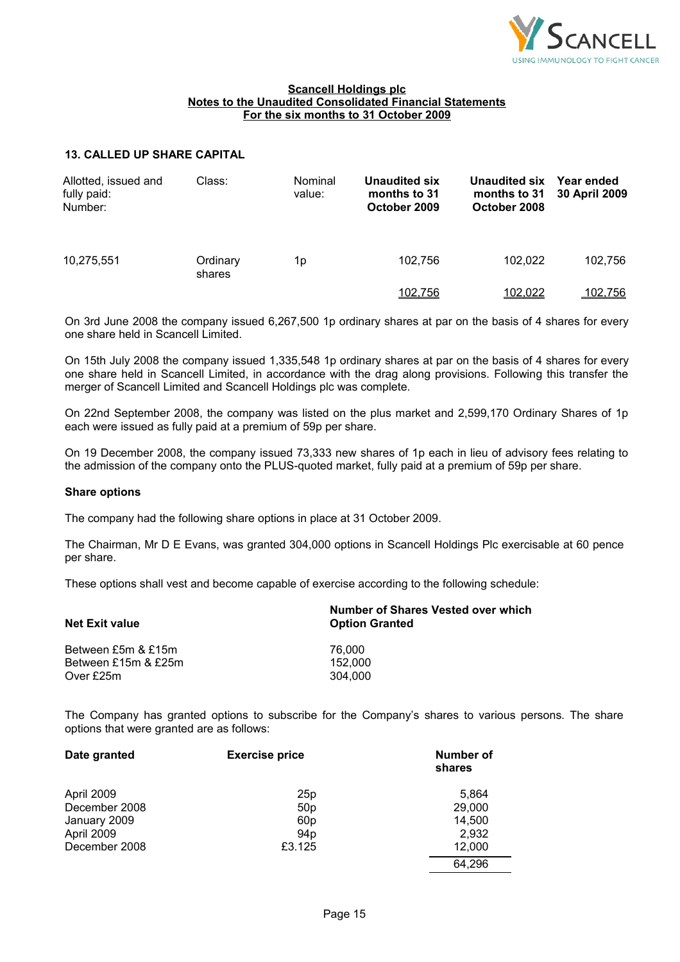

# **13. CALLED UP SHARE CAPITAL**

| Allotted, issued and<br>fully paid:<br>Number: | Class:             | Nominal<br>value: | Unaudited six<br>months to 31<br>October 2009 | Unaudited six<br>months to 31<br>October 2008 | Year ended<br>30 April 2009 |
|------------------------------------------------|--------------------|-------------------|-----------------------------------------------|-----------------------------------------------|-----------------------------|
| 10,275,551                                     | Ordinary<br>shares | 1p                | 102.756                                       | 102.022                                       | 102,756                     |
|                                                |                    |                   | 102,756                                       | 102,022                                       | 102.756                     |

On 3rd June 2008 the company issued 6,267,500 1p ordinary shares at par on the basis of 4 shares for every one share held in Scancell Limited.

On 15th July 2008 the company issued 1,335,548 1p ordinary shares at par on the basis of 4 shares for every one share held in Scancell Limited, in accordance with the drag along provisions. Following this transfer the merger of Scancell Limited and Scancell Holdings plc was complete.

On 22nd September 2008, the company was listed on the plus market and 2,599,170 Ordinary Shares of 1p each were issued as fully paid at a premium of 59p per share.

On 19 December 2008, the company issued 73,333 new shares of 1p each in lieu of advisory fees relating to the admission of the company onto the PLUS-quoted market, fully paid at a premium of 59p per share.

### **Share options**

The company had the following share options in place at 31 October 2009.

The Chairman, Mr D E Evans, was granted 304,000 options in Scancell Holdings Plc exercisable at 60 pence per share.

These options shall vest and become capable of exercise according to the following schedule:

| <b>Net Exit value</b> | Number of Shares Vested over which<br><b>Option Granted</b> |  |  |
|-----------------------|-------------------------------------------------------------|--|--|
| Between £5m & £15m    | 76.000                                                      |  |  |
| Between £15m & £25m   | 152.000                                                     |  |  |
| Over £25m             | 304.000                                                     |  |  |

The Company has granted options to subscribe for the Company's shares to various persons. The share options that were granted are as follows:

| Date granted  | <b>Exercise price</b> | Number of<br>shares |
|---------------|-----------------------|---------------------|
| April 2009    | 25p                   | 5,864               |
| December 2008 | 50 <sub>p</sub>       | 29,000              |
| January 2009  | 60 <sub>p</sub>       | 14,500              |
| April 2009    | 94 <sub>p</sub>       | 2,932               |
| December 2008 | £3.125                | 12,000              |
|               |                       | 64,296              |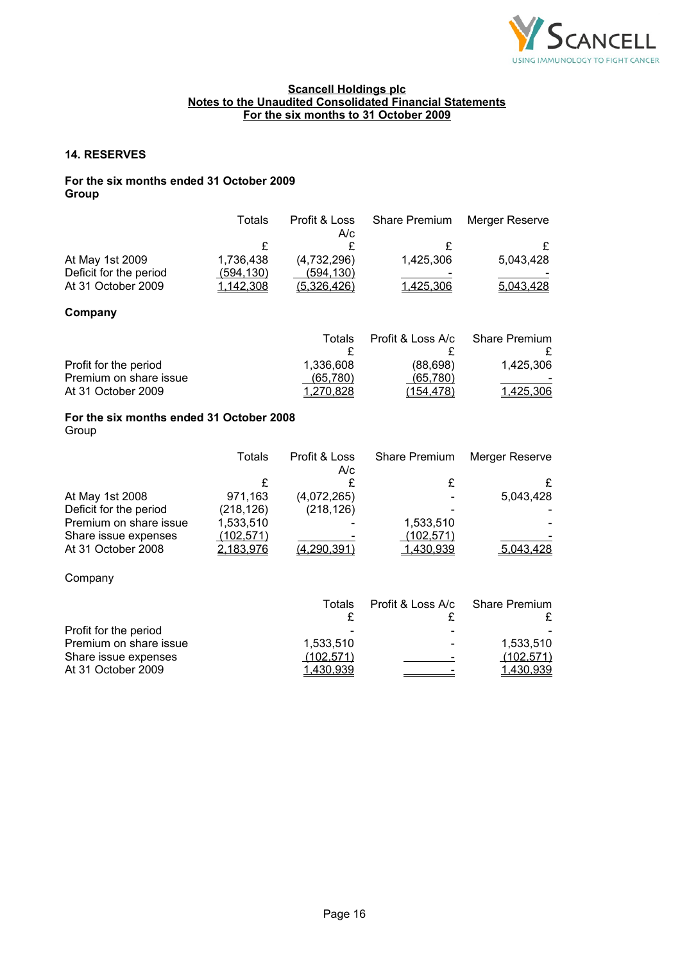

### **14. RESERVES**

# **For the six months ended 31 October 2009 Group**

|                                                   | Totals                  | Profit & Loss<br>A/c | <b>Share Premium</b> | Merger Reserve        |
|---------------------------------------------------|-------------------------|----------------------|----------------------|-----------------------|
|                                                   | £                       | £                    | £                    | £                     |
| At May 1st 2009                                   | 1,736,438               | (4,732,296)          | 1,425,306            | 5,043,428             |
| Deficit for the period                            | (594, 130)              | (594, 130)           |                      |                       |
| At 31 October 2009                                | 1,142,308               | (5,326,426)          | 1,425,306            | 5,043,428             |
| Company                                           |                         |                      |                      |                       |
|                                                   |                         | Totals               | Profit & Loss A/c    | <b>Share Premium</b>  |
| Profit for the period                             |                         | £<br>1,336,608       | £<br>(88, 698)       | 1,425,306             |
| Premium on share issue                            |                         | <u>(65,780)</u>      | (65, 780)            |                       |
| At 31 October 2009                                |                         | 1,270,828            | (154, 478)           | 1,425,306             |
| For the six months ended 31 October 2008<br>Group |                         |                      |                      |                       |
|                                                   | <b>Totals</b>           | Profit & Loss<br>A/c | <b>Share Premium</b> | <b>Merger Reserve</b> |
|                                                   | £                       | £                    | £                    | £                     |
| At May 1st 2008                                   | 971,163                 | (4,072,265)          |                      | 5,043,428             |
| Deficit for the period<br>Premium on share issue  | (218, 126)<br>1,533,510 | (218, 126)           | 1,533,510            |                       |
| Share issue expenses                              | (102, 571)              |                      | (102, 571)           |                       |
| At 31 October 2008                                | 2,183,976               | (4, 290, 391)        | 1,430,939            | 5,043,428             |
| Company                                           |                         |                      |                      |                       |
|                                                   |                         | <b>Totals</b>        | Profit & Loss A/c    | <b>Share Premium</b>  |

| TOTAIS    | PIUIIL & LUSS A/C            | Share Piemum     |
|-----------|------------------------------|------------------|
|           |                              |                  |
|           |                              |                  |
| 1.533.510 | $\qquad \qquad \blacksquare$ | 1.533.510        |
| (102.571) | -                            | (102, 571)       |
| 1.430.939 |                              | <u>1,430,939</u> |
|           |                              |                  |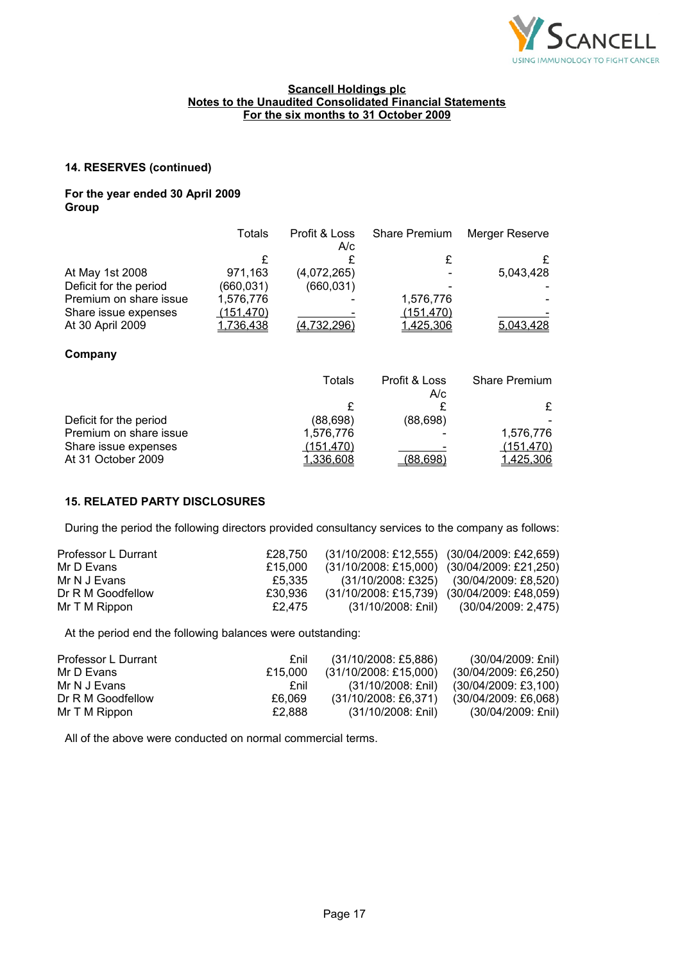

# **14. RESERVES (continued)**

# **For the year ended 30 April 2009 Group**

|                        | Totals     | Profit & Loss<br>A/c | <b>Share Premium</b> | Merger Reserve |
|------------------------|------------|----------------------|----------------------|----------------|
|                        |            |                      |                      |                |
| At May 1st 2008        | 971,163    | (4,072,265)          |                      | 5,043,428      |
| Deficit for the period | (660,031)  | (660, 031)           |                      |                |
| Premium on share issue | 1,576,776  |                      | 1,576,776            |                |
| Share issue expenses   | (151, 470) |                      | (151, 470)           |                |
| At 30 April 2009       | 1,736,438  | (4,732,296)          | 1,425,306            | 5,043,428      |

# **Company**

|                        | Totals     | Profit & Loss<br>A/c | Share Premium |
|------------------------|------------|----------------------|---------------|
|                        |            |                      | £             |
| Deficit for the period | (88, 698)  | (88, 698)            |               |
| Premium on share issue | 1,576,776  |                      | 1,576,776     |
| Share issue expenses   | (151, 470) |                      | (151, 470)    |
| At 31 October 2009     | 1,336,608  | (88, 698)            | 1,425,306     |

# **15. RELATED PARTY DISCLOSURES**

During the period the following directors provided consultancy services to the company as follows:

| Professor L Durrant | £28.750 | (31/10/2008: £12,555) (30/04/2009: £42,659) |                                         |
|---------------------|---------|---------------------------------------------|-----------------------------------------|
| Mr D Evans          | £15.000 | (31/10/2008: £15,000) (30/04/2009: £21,250) |                                         |
| Mr N J Evans        | £5.335  |                                             | (31/10/2008: £325) (30/04/2009: £8,520) |
| Dr R M Goodfellow   | £30.936 | (31/10/2008: £15,739) (30/04/2009: £48,059) |                                         |
| Mr T M Rippon       | £2.475  |                                             | (31/10/2008: £nil) (30/04/2009: 2,475)  |

At the period end the following balances were outstanding:

| Professor L Durrant | £nil    | $(31/10/2008; \text{\pounds}5,886)$ | (30/04/2009: £nil)                  |
|---------------------|---------|-------------------------------------|-------------------------------------|
| Mr D Evans          | £15.000 | (31/10/2008: £15,000)               | (30/04/2009: £6,250)                |
| Mr N J Evans        | £nil    | (31/10/2008: £nil)                  | $(30/04/2009; \text{\pounds}3,100)$ |
| Dr R M Goodfellow   | £6.069  | $(31/10/2008; \text{\pounds}6.371)$ | $(30/04/2009; \text{\pounds}6.068)$ |
| Mr T M Rippon       | £2.888  | (31/10/2008: £nil)                  | (30/04/2009: £nil)                  |

All of the above were conducted on normal commercial terms.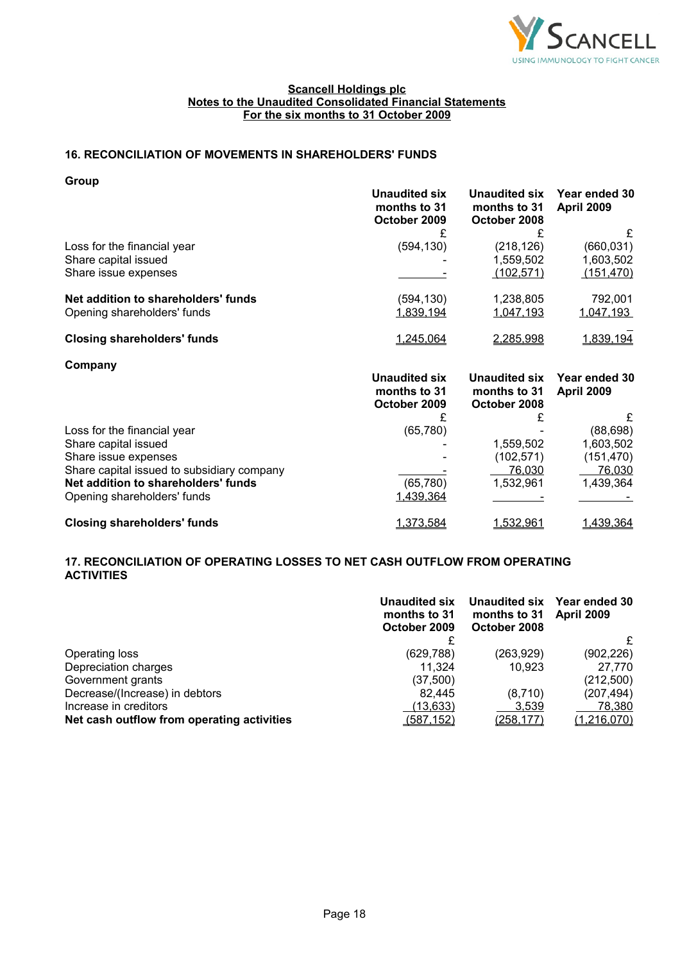

# **16. RECONCILIATION OF MOVEMENTS IN SHAREHOLDERS' FUNDS**

**Group**

|                                     | Unaudited six<br>months to 31<br>October 2009 | Unaudited six<br>months to 31<br>October 2008 | Year ended 30<br><b>April 2009</b> |
|-------------------------------------|-----------------------------------------------|-----------------------------------------------|------------------------------------|
|                                     |                                               |                                               | £                                  |
| Loss for the financial year         | (594, 130)                                    | (218,126)                                     | (660, 031)                         |
| Share capital issued                |                                               | 1,559,502                                     | 1,603,502                          |
| Share issue expenses                |                                               | (102, 571)                                    | <u>(151,470)</u>                   |
| Net addition to shareholders' funds | (594, 130)                                    | 1,238,805                                     | 792.001                            |
| Opening shareholders' funds         | <u>1,839,194</u>                              | <u>1,047,193</u>                              | <u>1,047,193</u>                   |
| <b>Closing shareholders' funds</b>  | 1.245.064                                     | <u>2,285,998</u>                              | 1,839,194                          |

| Company |
|---------|
|---------|

|                                            | <b>Unaudited six</b><br>months to 31<br>October 2009<br>(65, 780) | Unaudited six<br>months to 31<br>October 2008 | Year ended 30<br><b>April 2009</b> |
|--------------------------------------------|-------------------------------------------------------------------|-----------------------------------------------|------------------------------------|
|                                            |                                                                   |                                               | £                                  |
| Loss for the financial year                |                                                                   |                                               | (88, 698)                          |
| Share capital issued                       |                                                                   | 1,559,502                                     | 1,603,502                          |
| Share issue expenses                       |                                                                   | (102,571)                                     | (151, 470)                         |
| Share capital issued to subsidiary company |                                                                   | 76,030                                        | 76,030                             |
| Net addition to shareholders' funds        | (65, 780)                                                         | 1,532,961                                     | 1,439,364                          |
| Opening shareholders' funds                | 1,439,364                                                         |                                               |                                    |
| <b>Closing shareholders' funds</b>         | 1,373,584                                                         | <u>1,532,961</u>                              | 1,439,364                          |

# **17. RECONCILIATION OF OPERATING LOSSES TO NET CASH OUTFLOW FROM OPERATING ACTIVITIES**

|                                            | Unaudited six<br>months to 31<br>October 2009 | Unaudited six<br>months to 31<br>October 2008 | Year ended 30<br><b>April 2009</b> |
|--------------------------------------------|-----------------------------------------------|-----------------------------------------------|------------------------------------|
|                                            |                                               |                                               | £                                  |
| Operating loss                             | (629, 788)                                    | (263,929)                                     | (902, 226)                         |
| Depreciation charges                       | 11.324                                        | 10.923                                        | 27,770                             |
| Government grants                          | (37,500)                                      |                                               | (212,500)                          |
| Decrease/(Increase) in debtors             | 82.445                                        | (8,710)                                       | (207, 494)                         |
| Increase in creditors                      | (13, 633)                                     | 3,539                                         | 78,380                             |
| Net cash outflow from operating activities | (587, 152)                                    | <u>(258,177)</u>                              | (1,216,070)                        |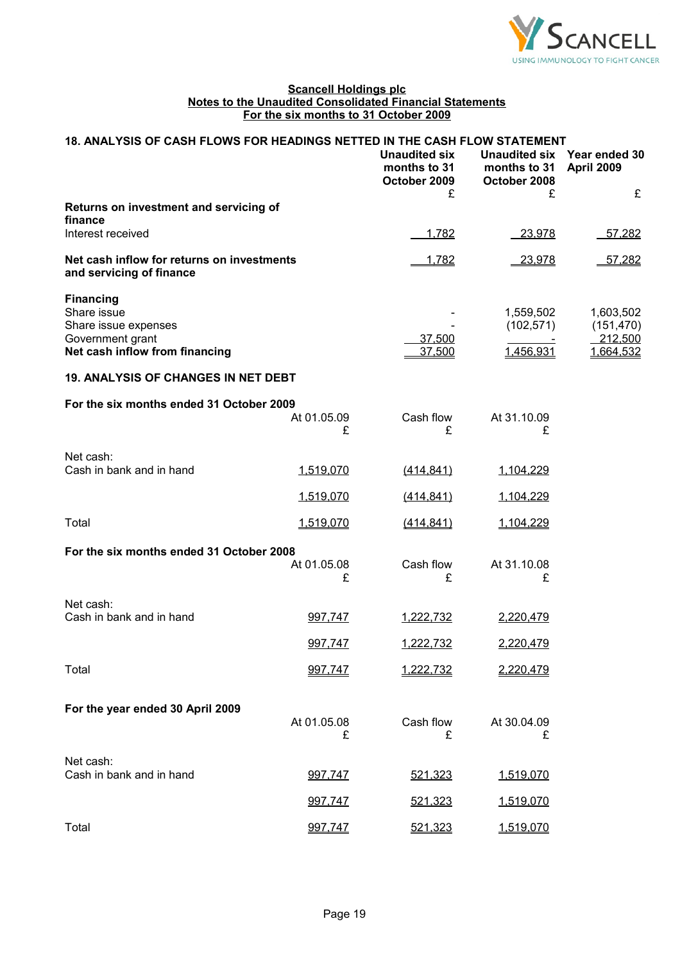

| 18. ANALYSIS OF CASH FLOWS FOR HEADINGS NETTED IN THE CASH FLOW STATEMENT |                  |                                                      |                              |                                           |  |
|---------------------------------------------------------------------------|------------------|------------------------------------------------------|------------------------------|-------------------------------------------|--|
|                                                                           |                  | <b>Unaudited six</b><br>months to 31<br>October 2009 | months to 31<br>October 2008 | Unaudited six Year ended 30<br>April 2009 |  |
|                                                                           |                  | £                                                    | £                            | £                                         |  |
| Returns on investment and servicing of<br>finance                         |                  |                                                      |                              |                                           |  |
| Interest received                                                         |                  | 1,782                                                | $-23,978$                    | 57,282                                    |  |
| Net cash inflow for returns on investments<br>and servicing of finance    |                  | 1,782                                                | 23,978                       | 57,282                                    |  |
| <b>Financing</b>                                                          |                  |                                                      |                              |                                           |  |
| Share issue                                                               |                  |                                                      | 1,559,502                    | 1,603,502                                 |  |
| Share issue expenses                                                      |                  |                                                      | (102, 571)                   | (151, 470)                                |  |
| Government grant<br>Net cash inflow from financing                        |                  | 37,500<br>37,500                                     | 1,456,931                    | 212,500<br>1,664,532                      |  |
| <b>19. ANALYSIS OF CHANGES IN NET DEBT</b>                                |                  |                                                      |                              |                                           |  |
| For the six months ended 31 October 2009                                  |                  |                                                      |                              |                                           |  |
|                                                                           | At 01.05.09<br>£ | Cash flow<br>£                                       | At 31.10.09<br>£             |                                           |  |
|                                                                           |                  |                                                      |                              |                                           |  |
| Net cash:<br>Cash in bank and in hand                                     | 1,519,070        | (414, 841)                                           | 1,104,229                    |                                           |  |
|                                                                           |                  |                                                      |                              |                                           |  |
|                                                                           | 1,519,070        | (414, 841)                                           | 1,104,229                    |                                           |  |
| Total                                                                     | 1,519,070        | (414, 841)                                           | 1,104,229                    |                                           |  |
| For the six months ended 31 October 2008                                  |                  |                                                      |                              |                                           |  |
|                                                                           | At 01.05.08      | Cash flow                                            | At 31.10.08                  |                                           |  |
|                                                                           | £                | £                                                    | £                            |                                           |  |
| Net cash:                                                                 |                  |                                                      |                              |                                           |  |
| Cash in bank and in hand                                                  | 997,747          | 1,222,732                                            | 2,220,479                    |                                           |  |
|                                                                           | 997,747          | 1,222,732                                            | 2,220,479                    |                                           |  |
| Total                                                                     | 997,747          | <u>1,222,732</u>                                     | 2,220,479                    |                                           |  |
|                                                                           |                  |                                                      |                              |                                           |  |
| For the year ended 30 April 2009                                          | At 01.05.08      | Cash flow                                            | At 30.04.09                  |                                           |  |
|                                                                           | £                | £                                                    | £                            |                                           |  |
| Net cash:                                                                 |                  |                                                      |                              |                                           |  |
| Cash in bank and in hand                                                  | 997,747          | 521,323                                              | 1,519,070                    |                                           |  |
|                                                                           | 997,747          | 521,323                                              | 1,519,070                    |                                           |  |
| Total                                                                     | 997,747          | 521,323                                              | 1,519,070                    |                                           |  |
|                                                                           |                  |                                                      |                              |                                           |  |